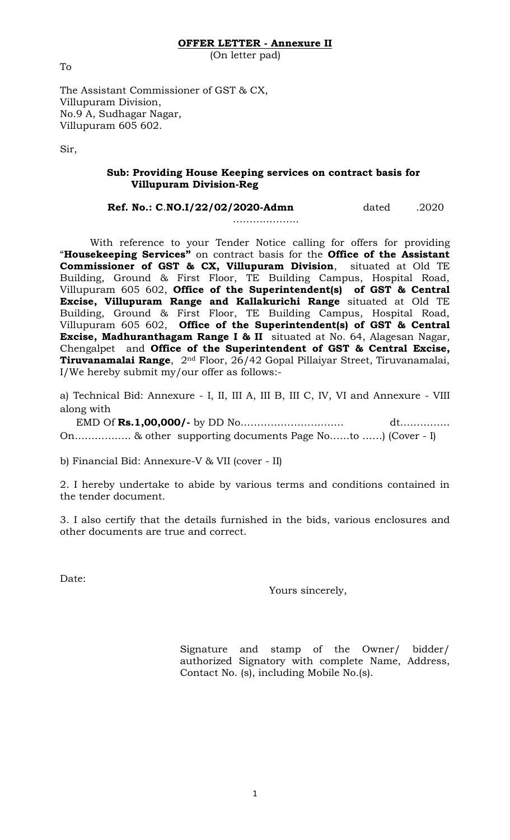# **OFFER LETTER - Annexure II**

(On letter pad)

The Assistant Commissioner of GST & CX, Villupuram Division, No.9 A, Sudhagar Nagar, Villupuram 605 602.

Sir,

# **Sub: Providing House Keeping services on contract basis for Villupuram Division-Reg**

| Ref. No.: C.NO.I/22/02/2020-Admn | dated | .2020 |
|----------------------------------|-------|-------|
|----------------------------------|-------|-------|

………………..

With reference to your Tender Notice calling for offers for providing "**Housekeeping Services"** on contract basis for the **Office of the Assistant Commissioner of GST & CX, Villupuram Division**, situated at Old TE Building, Ground & First Floor, TE Building Campus, Hospital Road, Villupuram 605 602, **Office of the Superintendent(s) of GST & Central Excise, Villupuram Range and Kallakurichi Range** situated at Old TE Building, Ground & First Floor, TE Building Campus, Hospital Road, Villupuram 605 602, **Office of the Superintendent(s) of GST & Central Excise, Madhuranthagam Range I & II** situated at No. 64, Alagesan Nagar, Chengalpet and **Office of the Superintendent of GST & Central Excise, Tiruvanamalai Range**, 2nd Floor, 26/42 Gopal Pillaiyar Street, Tiruvanamalai, I/We hereby submit my/our offer as follows:-

a) Technical Bid: Annexure - I, II, III A, III B, III C, IV, VI and Annexure - VIII along with

 EMD Of **Rs.1,00,000/-** by DD No…………………………. dt…………… On…………….. & other supporting documents Page No……to ……) (Cover - I)

b) Financial Bid: Annexure-V & VII (cover - II)

2. I hereby undertake to abide by various terms and conditions contained in the tender document.

3. I also certify that the details furnished in the bids, various enclosures and other documents are true and correct.

1

Date:

Yours sincerely,

Signature and stamp of the Owner/ bidder/ authorized Signatory with complete Name, Address, Contact No. (s), including Mobile No.(s).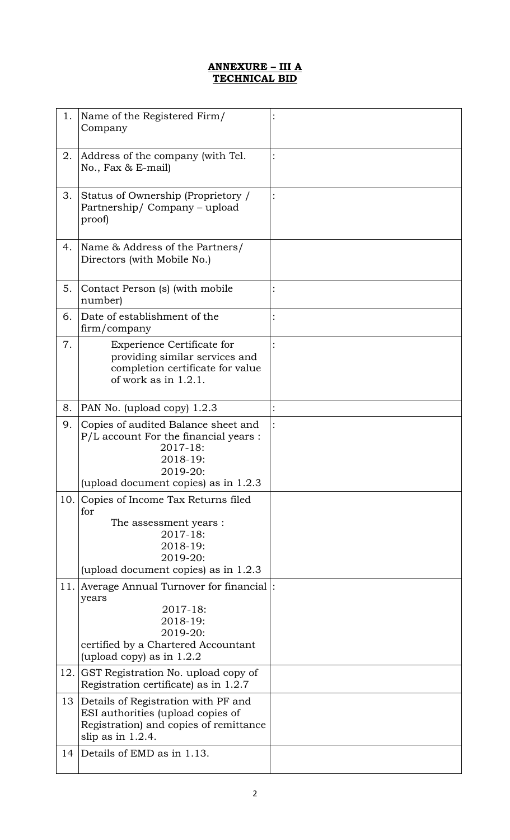# **ANNEXURE – III A TECHNICAL BID**

| 1.  | Name of the Registered Firm/<br>Company                                                                                                    |                |
|-----|--------------------------------------------------------------------------------------------------------------------------------------------|----------------|
| 2.  | Address of the company (with Tel.<br>No., Fax & E-mail)                                                                                    | $\ddot{\cdot}$ |
| 3.  | Status of Ownership (Proprietory /<br>Partnership/Company – upload<br>proof)                                                               |                |
| 4.  | Name & Address of the Partners/<br>Directors (with Mobile No.)                                                                             |                |
| 5.  | Contact Person (s) (with mobile<br>number)                                                                                                 |                |
| 6.  | Date of establishment of the<br>firm/company                                                                                               | $\ddot{\cdot}$ |
| 7.  | <b>Experience Certificate for</b><br>providing similar services and<br>completion certificate for value<br>of work as in $1.2.1$ .         |                |
| 8.  | PAN No. (upload copy) 1.2.3                                                                                                                | $\ddot{\cdot}$ |
| 9.  | Copies of audited Balance sheet and<br>P/L account For the financial years :<br>2017-18:<br>2018-19:<br>2019-20:                           |                |
|     | (upload document copies) as in 1.2.3                                                                                                       |                |
| 10. | Copies of Income Tax Returns filed<br>for                                                                                                  |                |
|     | The assessment years :                                                                                                                     |                |
|     | 2017-18:<br>2018-19:                                                                                                                       |                |
|     | 2019-20:                                                                                                                                   |                |
|     | (upload document copies) as in 1.2.3<br>11. Average Annual Turnover for financial:                                                         |                |
|     | years<br>2017-18:<br>2018-19:<br>2019-20:<br>certified by a Chartered Accountant                                                           |                |
|     | (upload copy) as in $1.2.2$                                                                                                                |                |
|     | 12. GST Registration No. upload copy of<br>Registration certificate) as in 1.2.7                                                           |                |
| 13  | Details of Registration with PF and<br>ESI authorities (upload copies of<br>Registration) and copies of remittance<br>slip as in $1.2.4$ . |                |
| 14  | Details of EMD as in 1.13.                                                                                                                 |                |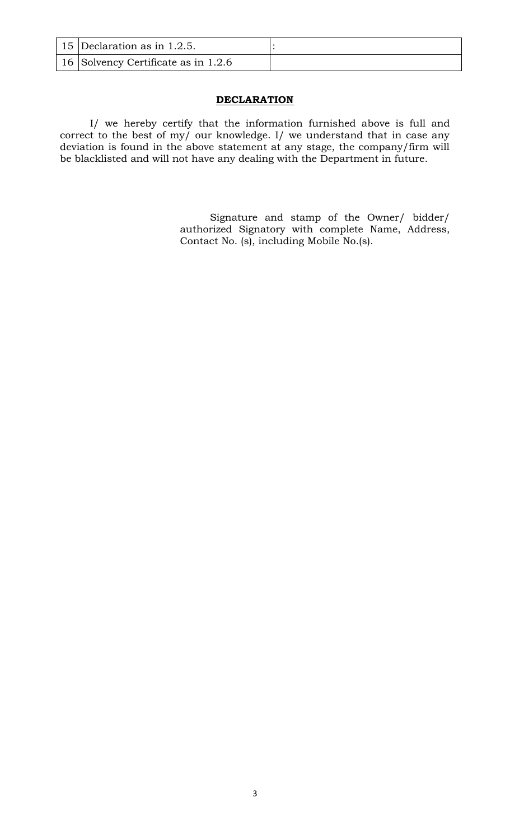| 15 Declaration as in 1.2.5.                         |  |
|-----------------------------------------------------|--|
| $\vert$ 16 $\vert$ Solvency Certificate as in 1.2.6 |  |

# **DECLARATION**

I/ we hereby certify that the information furnished above is full and correct to the best of my/ our knowledge. I/ we understand that in case any deviation is found in the above statement at any stage, the company/firm will be blacklisted and will not have any dealing with the Department in future.

> Signature and stamp of the Owner/ bidder/ authorized Signatory with complete Name, Address, Contact No. (s), including Mobile No.(s).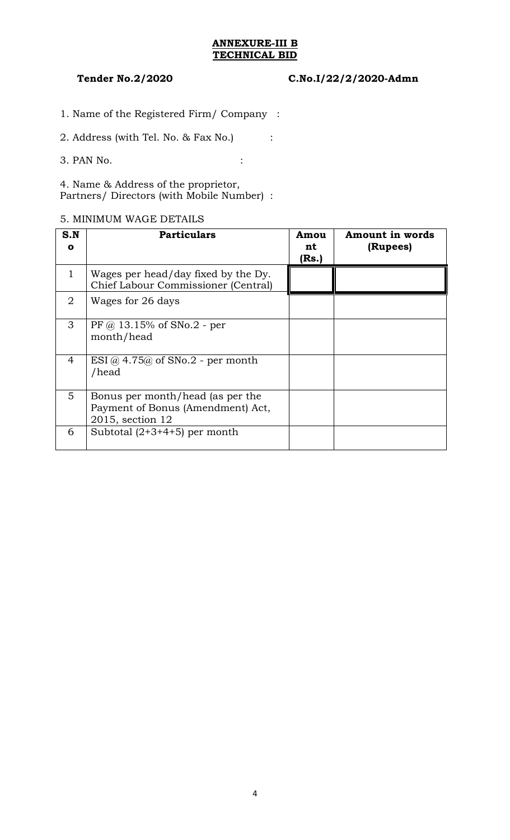## **ANNEXURE-III B TECHNICAL BID**

## **Tender No.2/2020 C.No.I/22/2/2020-Admn**

- 1. Name of the Registered Firm/ Company :
- 2. Address (with Tel. No. & Fax No.) :
- 3. PAN No. :

4. Name & Address of the proprietor, Partners/ Directors (with Mobile Number) :

## 5. MINIMUM WAGE DETAILS

| S.N<br>$\mathbf{o}$ | <b>Particulars</b>                                                                        | Amou<br>nt<br>(Rs.) | <b>Amount in words</b><br>(Rupees) |
|---------------------|-------------------------------------------------------------------------------------------|---------------------|------------------------------------|
| 1                   | Wages per head/day fixed by the Dy.<br>Chief Labour Commissioner (Central)                |                     |                                    |
| $\overline{2}$      | Wages for 26 days                                                                         |                     |                                    |
| 3                   | $PF @ 13.15\% of SNo.2 - per$<br>month/head                                               |                     |                                    |
| $\overline{4}$      | $ESI$ @ 4.75@ of SNo.2 - per month<br>/head                                               |                     |                                    |
| 5                   | Bonus per month/head (as per the<br>Payment of Bonus (Amendment) Act,<br>2015, section 12 |                     |                                    |
| 6                   | Subtotal $(2+3+4+5)$ per month                                                            |                     |                                    |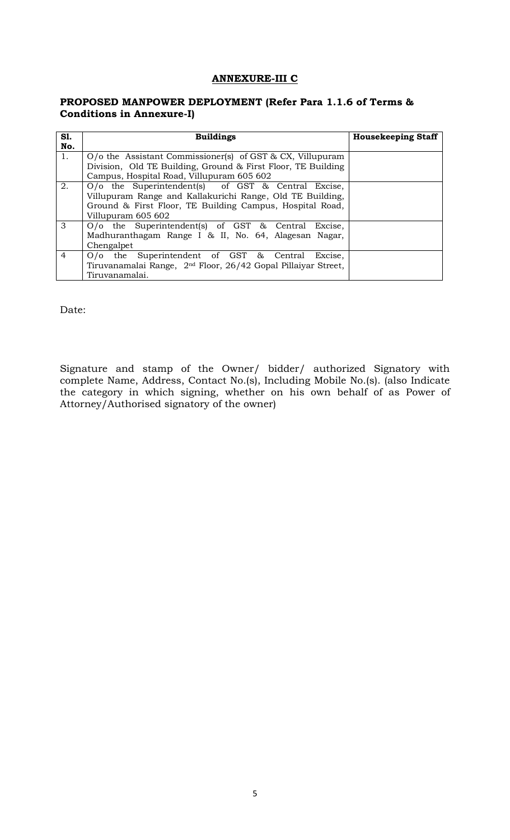## **ANNEXURE-III C**

## **PROPOSED MANPOWER DEPLOYMENT (Refer Para 1.1.6 of Terms & Conditions in Annexure-I)**

| S1.            | <b>Buildings</b>                                                          | <b>Housekeeping Staff</b> |
|----------------|---------------------------------------------------------------------------|---------------------------|
| No.            |                                                                           |                           |
| 1.             | $O$ the Assistant Commissioner(s) of GST & CX, Villupuram                 |                           |
|                | Division, Old TE Building, Ground & First Floor, TE Building              |                           |
|                | Campus, Hospital Road, Villupuram 605 602                                 |                           |
| 2.             | O/o the Superintendent(s) of GST & Central Excise,                        |                           |
|                | Villupuram Range and Kallakurichi Range, Old TE Building,                 |                           |
|                | Ground & First Floor, TE Building Campus, Hospital Road,                  |                           |
|                | Villupuram 605 602                                                        |                           |
| 3              | $O/O$ the Superintendent(s) of GST & Central<br>Excise.                   |                           |
|                | Madhuranthagam Range I & II, No. 64, Alagesan Nagar,                      |                           |
|                | Chengalpet                                                                |                           |
| $\overline{4}$ | $O/O$ the Superintendent of GST $\&$ Central<br>Excise.                   |                           |
|                | Tiruvanamalai Range, 2 <sup>nd</sup> Floor, 26/42 Gopal Pillaiyar Street, |                           |
|                | Tiruvanamalai.                                                            |                           |

Date:

Signature and stamp of the Owner/ bidder/ authorized Signatory with complete Name, Address, Contact No.(s), Including Mobile No.(s). (also Indicate the category in which signing, whether on his own behalf of as Power of Attorney/Authorised signatory of the owner)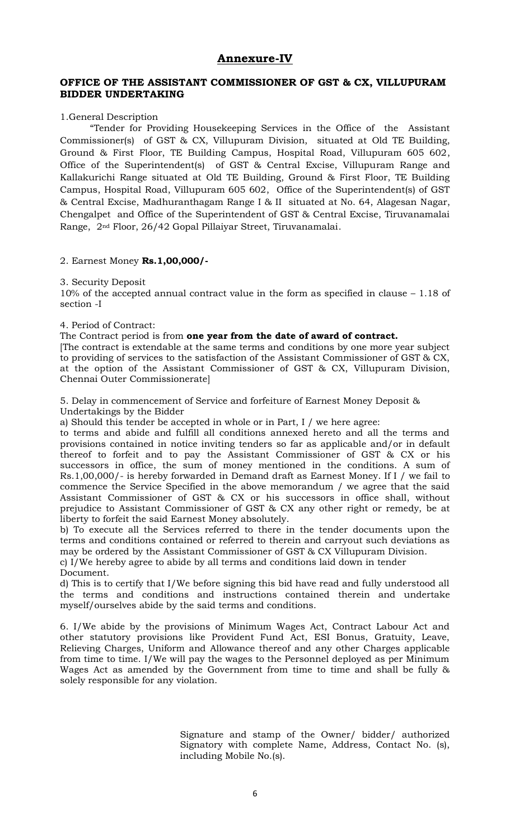# **Annexure-IV**

## **OFFICE OF THE ASSISTANT COMMISSIONER OF GST & CX, VILLUPURAM BIDDER UNDERTAKING**

### 1.General Description

"Tender for Providing Housekeeping Services in the Office of the Assistant Commissioner(s) of GST & CX, Villupuram Division, situated at Old TE Building, Ground & First Floor, TE Building Campus, Hospital Road, Villupuram 605 602, Office of the Superintendent(s) of GST & Central Excise, Villupuram Range and Kallakurichi Range situated at Old TE Building, Ground & First Floor, TE Building Campus, Hospital Road, Villupuram 605 602, Office of the Superintendent(s) of GST & Central Excise, Madhuranthagam Range I & II situated at No. 64, Alagesan Nagar, Chengalpet and Office of the Superintendent of GST & Central Excise, Tiruvanamalai Range, 2nd Floor, 26/42 Gopal Pillaiyar Street, Tiruvanamalai.

### 2. Earnest Money **Rs.1,00,000/-**

3. Security Deposit

10% of the accepted annual contract value in the form as specified in clause – 1.18 of section -I

4. Period of Contract:

The Contract period is from **one year from the date of award of contract.**

[The contract is extendable at the same terms and conditions by one more year subject to providing of services to the satisfaction of the Assistant Commissioner of GST & CX, at the option of the Assistant Commissioner of GST & CX, Villupuram Division, Chennai Outer Commissionerate]

5. Delay in commencement of Service and forfeiture of Earnest Money Deposit & Undertakings by the Bidder

a) Should this tender be accepted in whole or in Part, I / we here agree:

to terms and abide and fulfill all conditions annexed hereto and all the terms and provisions contained in notice inviting tenders so far as applicable and/or in default thereof to forfeit and to pay the Assistant Commissioner of GST & CX or his successors in office, the sum of money mentioned in the conditions. A sum of Rs.1,00,000/- is hereby forwarded in Demand draft as Earnest Money. If I / we fail to commence the Service Specified in the above memorandum / we agree that the said Assistant Commissioner of GST & CX or his successors in office shall, without prejudice to Assistant Commissioner of GST & CX any other right or remedy, be at liberty to forfeit the said Earnest Money absolutely.

b) To execute all the Services referred to there in the tender documents upon the terms and conditions contained or referred to therein and carryout such deviations as may be ordered by the Assistant Commissioner of GST & CX Villupuram Division.

c) I/We hereby agree to abide by all terms and conditions laid down in tender Document.

d) This is to certify that I/We before signing this bid have read and fully understood all the terms and conditions and instructions contained therein and undertake myself/ourselves abide by the said terms and conditions.

6. I/We abide by the provisions of Minimum Wages Act, Contract Labour Act and other statutory provisions like Provident Fund Act, ESI Bonus, Gratuity, Leave, Relieving Charges, Uniform and Allowance thereof and any other Charges applicable from time to time. I/We will pay the wages to the Personnel deployed as per Minimum Wages Act as amended by the Government from time to time and shall be fully & solely responsible for any violation.

> Signature and stamp of the Owner/ bidder/ authorized Signatory with complete Name, Address, Contact No. (s), including Mobile No.(s).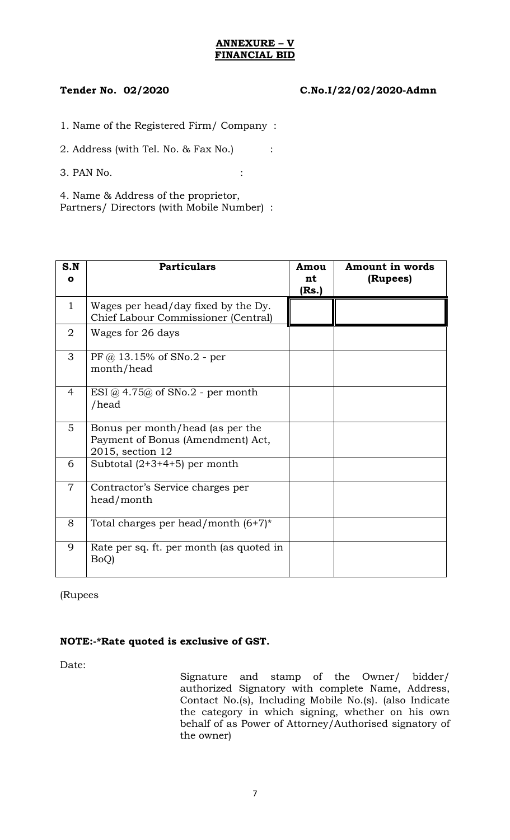## **ANNEXURE – V FINANCIAL BID**

# **Tender No. 02/2020 C.No.I/22/02/2020-Admn**

1. Name of the Registered Firm/ Company :

2. Address (with Tel. No. & Fax No.) :

3. PAN No. :

4. Name & Address of the proprietor, Partners/ Directors (with Mobile Number) :

| S.N            | <b>Particulars</b>                                                                        | Amou        | Amount in words |
|----------------|-------------------------------------------------------------------------------------------|-------------|-----------------|
| $\mathbf{o}$   |                                                                                           | nt<br>(Rs.) | (Rupees)        |
| $\mathbf{1}$   | Wages per head/day fixed by the Dy.<br>Chief Labour Commissioner (Central)                |             |                 |
| $\overline{2}$ | Wages for 26 days                                                                         |             |                 |
| 3              | $PF @ 13.15\% of SNo.2 - per$<br>month/head                                               |             |                 |
| 4              | $ESI$ @ 4.75@ of SNo.2 - per month<br>/head                                               |             |                 |
| 5              | Bonus per month/head (as per the<br>Payment of Bonus (Amendment) Act,<br>2015, section 12 |             |                 |
| 6              | Subtotal $(2+3+4+5)$ per month                                                            |             |                 |
| $\overline{7}$ | Contractor's Service charges per<br>head/month                                            |             |                 |
| 8              | Total charges per head/month $(6+7)^*$                                                    |             |                 |
| 9              | Rate per sq. ft. per month (as quoted in<br>BoQ)                                          |             |                 |

(Rupees

# **NOTE:-\*Rate quoted is exclusive of GST.**

Date:

Signature and stamp of the Owner/ bidder/ authorized Signatory with complete Name, Address, Contact No.(s), Including Mobile No.(s). (also Indicate the category in which signing, whether on his own behalf of as Power of Attorney/Authorised signatory of the owner)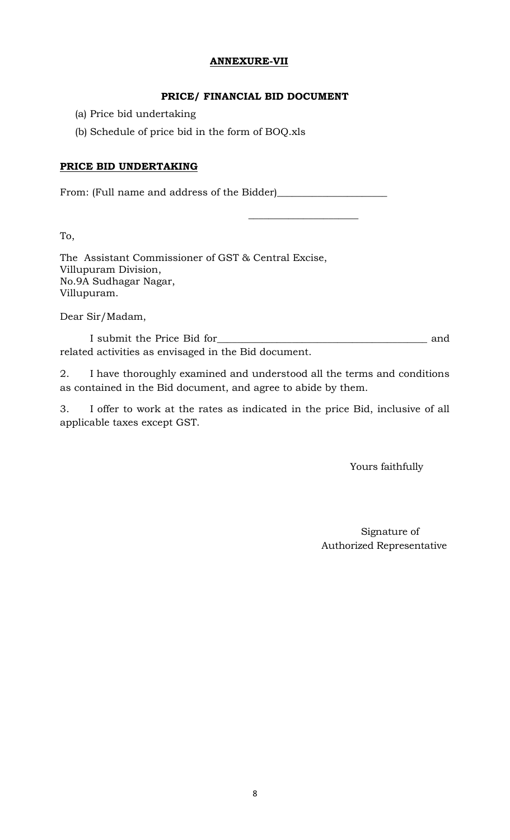# **ANNEXURE-VII**

# **PRICE/ FINANCIAL BID DOCUMENT**

 $\mathcal{L}_\text{max}$  and  $\mathcal{L}_\text{max}$  and  $\mathcal{L}_\text{max}$  and  $\mathcal{L}_\text{max}$ 

- (a) Price bid undertaking
- (b) Schedule of price bid in the form of BOQ.xls

# **PRICE BID UNDERTAKING**

From: (Full name and address of the Bidder)\_\_\_\_\_\_\_\_\_\_\_\_\_\_\_\_\_\_\_\_\_\_

To,

The Assistant Commissioner of GST & Central Excise, Villupuram Division, No.9A Sudhagar Nagar, Villupuram.

Dear Sir/Madam,

I submit the Price Bid for\_\_\_\_\_\_\_\_\_\_\_\_\_\_\_\_\_\_\_\_\_\_\_\_\_\_\_\_\_\_\_\_\_\_\_\_\_\_\_\_\_\_ and related activities as envisaged in the Bid document.

2. I have thoroughly examined and understood all the terms and conditions as contained in the Bid document, and agree to abide by them.

3. I offer to work at the rates as indicated in the price Bid, inclusive of all applicable taxes except GST.

Yours faithfully

 Signature of Authorized Representative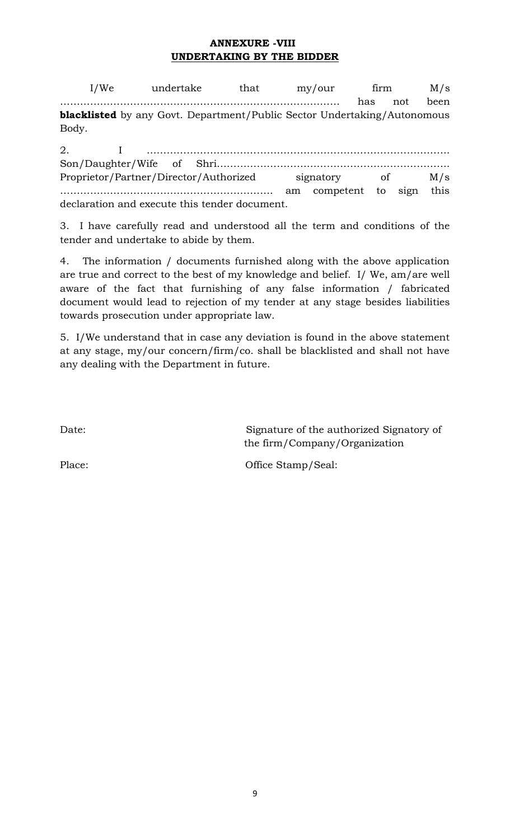# **ANNEXURE -VIII UNDERTAKING BY THE BIDDER**

I/We undertake that my/our firm M/s ………………………………………………………………………… has not been **blacklisted** by any Govt. Department/Public Sector Undertaking/Autonomous Body.

| Proprietor/Partner/Director/Authorized signatory of M/s |  |                                               |  |  |  |  |  |  |
|---------------------------------------------------------|--|-----------------------------------------------|--|--|--|--|--|--|
|                                                         |  |                                               |  |  |  |  |  |  |
|                                                         |  | declaration and execute this tender document. |  |  |  |  |  |  |

3. I have carefully read and understood all the term and conditions of the tender and undertake to abide by them.

4. The information / documents furnished along with the above application are true and correct to the best of my knowledge and belief. I/ We, am/are well aware of the fact that furnishing of any false information / fabricated document would lead to rejection of my tender at any stage besides liabilities towards prosecution under appropriate law.

5. I/We understand that in case any deviation is found in the above statement at any stage, my/our concern/firm/co. shall be blacklisted and shall not have any dealing with the Department in future.

Date: Signature of the authorized Signatory of the firm/Company/Organization

Place: Office Stamp/Seal: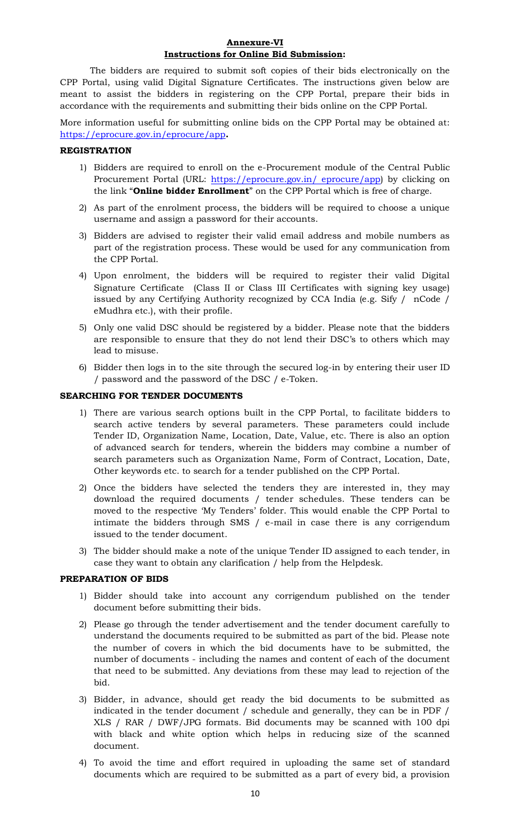### **Annexure-VI Instructions for Online Bid Submission:**

The bidders are required to submit soft copies of their bids electronically on the CPP Portal, using valid Digital Signature Certificates. The instructions given below are meant to assist the bidders in registering on the CPP Portal, prepare their bids in accordance with the requirements and submitting their bids online on the CPP Portal.

More information useful for submitting online bids on the CPP Portal may be obtained at: <https://eprocure.gov.in/eprocure/app>**.**

### **REGISTRATION**

- 1) Bidders are required to enroll on the e-Procurement module of the Central Public Procurement Portal (URL: [https://eprocure.gov.in/ eprocure/app\)](https://eprocure.gov.in/%20eprocure/app) by clicking on the link "**Online bidder Enrollment**" on the CPP Portal which is free of charge.
- 2) As part of the enrolment process, the bidders will be required to choose a unique username and assign a password for their accounts.
- 3) Bidders are advised to register their valid email address and mobile numbers as part of the registration process. These would be used for any communication from the CPP Portal.
- 4) Upon enrolment, the bidders will be required to register their valid Digital Signature Certificate (Class II or Class III Certificates with signing key usage) issued by any Certifying Authority recognized by CCA India (e.g. Sify / nCode / eMudhra etc.), with their profile.
- 5) Only one valid DSC should be registered by a bidder. Please note that the bidders are responsible to ensure that they do not lend their DSC's to others which may lead to misuse.
- 6) Bidder then logs in to the site through the secured log-in by entering their user ID / password and the password of the DSC / e-Token.

### **SEARCHING FOR TENDER DOCUMENTS**

- 1) There are various search options built in the CPP Portal, to facilitate bidders to search active tenders by several parameters. These parameters could include Tender ID, Organization Name, Location, Date, Value, etc. There is also an option of advanced search for tenders, wherein the bidders may combine a number of search parameters such as Organization Name, Form of Contract, Location, Date, Other keywords etc. to search for a tender published on the CPP Portal.
- 2) Once the bidders have selected the tenders they are interested in, they may download the required documents / tender schedules. These tenders can be moved to the respective 'My Tenders' folder. This would enable the CPP Portal to intimate the bidders through SMS / e-mail in case there is any corrigendum issued to the tender document.
- 3) The bidder should make a note of the unique Tender ID assigned to each tender, in case they want to obtain any clarification / help from the Helpdesk.

### **PREPARATION OF BIDS**

- 1) Bidder should take into account any corrigendum published on the tender document before submitting their bids.
- 2) Please go through the tender advertisement and the tender document carefully to understand the documents required to be submitted as part of the bid. Please note the number of covers in which the bid documents have to be submitted, the number of documents - including the names and content of each of the document that need to be submitted. Any deviations from these may lead to rejection of the bid.
- 3) Bidder, in advance, should get ready the bid documents to be submitted as indicated in the tender document / schedule and generally, they can be in PDF / XLS / RAR / DWF/JPG formats. Bid documents may be scanned with 100 dpi with black and white option which helps in reducing size of the scanned document.
- 4) To avoid the time and effort required in uploading the same set of standard documents which are required to be submitted as a part of every bid, a provision